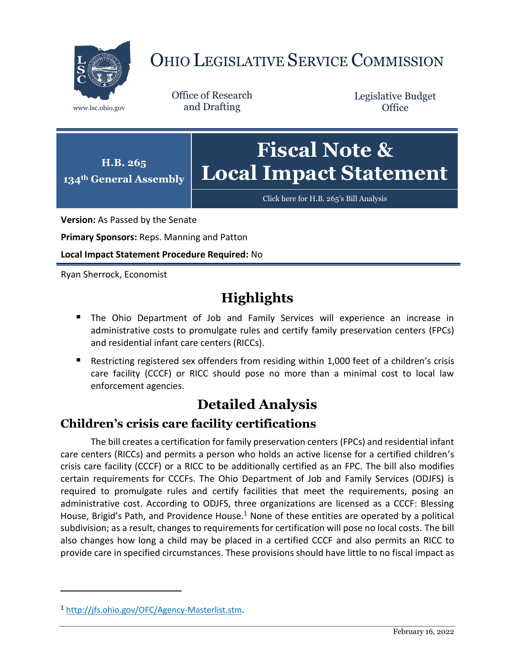

# OHIO LEGISLATIVE SERVICE COMMISSION

Office of Research www.lsc.ohio.gov and Drafting

Legislative Budget **Office** 



[Click here for H.B. 265](https://www.legislature.ohio.gov/legislation/legislation-documents?id=GA134-HB-265)'s Bill Analysis

**Version:** As Passed by the Senate

**Primary Sponsors:** Reps. Manning and Patton

**Local Impact Statement Procedure Required:** No

Ryan Sherrock, Economist

## **Highlights**

- **The Ohio Department of Job and Family Services will experience an increase in** administrative costs to promulgate rules and certify family preservation centers (FPCs) and residential infant care centers (RICCs).
- Restricting registered sex offenders from residing within 1,000 feet of a children's crisis care facility (CCCF) or RICC should pose no more than a minimal cost to local law enforcement agencies.

## **Detailed Analysis**

### **Children's crisis care facility certifications**

The bill creates a certification for family preservation centers (FPCs) and residential infant care centers (RICCs) and permits a person who holds an active license for a certified children's crisis care facility (CCCF) or a RICC to be additionally certified as an FPC. The bill also modifies certain requirements for CCCFs. The Ohio Department of Job and Family Services (ODJFS) is required to promulgate rules and certify facilities that meet the requirements, posing an administrative cost. According to ODJFS, three organizations are licensed as a CCCF: Blessing House, Brigid's Path, and Providence House.<sup>1</sup> None of these entities are operated by a political subdivision; as a result, changes to requirements for certification will pose no local costs. The bill also changes how long a child may be placed in a certified CCCF and also permits an RICC to provide care in specified circumstances. These provisions should have little to no fiscal impact as

 $\overline{a}$ 

<sup>1</sup> [http://jfs.ohio.gov/OFC/Agency-Masterlist.stm.](http://jfs.ohio.gov/OFC/Agency-Masterlist.stm)